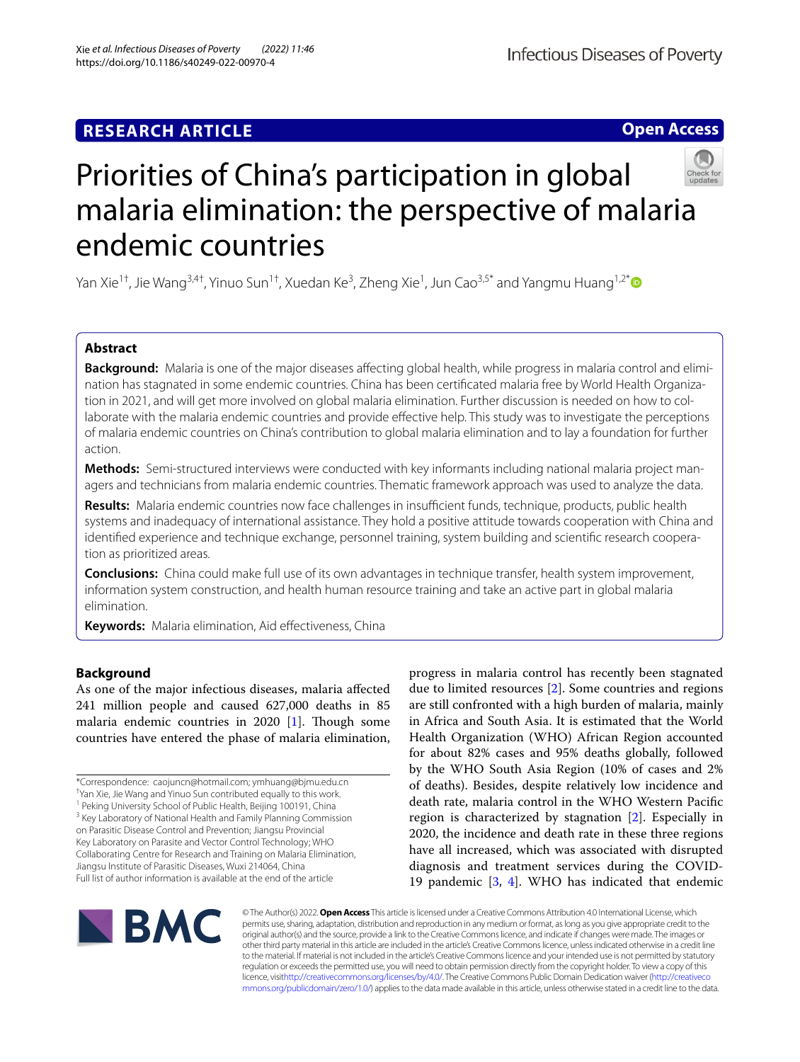# **RESEARCH ARTICLE**

# **Open Access**



# Priorities of China's participation in global malaria elimination: the perspective of malaria endemic countries

Yan Xie<sup>1†</sup>, Jie Wang<sup>3,4†</sup>, Yinuo Sun<sup>1†</sup>, Xuedan Ke<sup>3</sup>, Zheng Xie<sup>1</sup>, Jun Cao<sup>3,5[\\*](http://orcid.org/0000-0002-3660-1276)</sup> and Yangmu Huang<sup>1,2\*</sup>

## **Abstract**

**Background:** Malaria is one of the major diseases affecting global health, while progress in malaria control and elimination has stagnated in some endemic countries. China has been certifcated malaria free by World Health Organization in 2021, and will get more involved on global malaria elimination. Further discussion is needed on how to collaborate with the malaria endemic countries and provide efective help. This study was to investigate the perceptions of malaria endemic countries on China's contribution to global malaria elimination and to lay a foundation for further action.

**Methods:** Semi-structured interviews were conducted with key informants including national malaria project managers and technicians from malaria endemic countries. Thematic framework approach was used to analyze the data.

Results: Malaria endemic countries now face challenges in insufficient funds, technique, products, public health systems and inadequacy of international assistance. They hold a positive attitude towards cooperation with China and identifed experience and technique exchange, personnel training, system building and scientifc research cooperation as prioritized areas.

**Conclusions:** China could make full use of its own advantages in technique transfer, health system improvement, information system construction, and health human resource training and take an active part in global malaria elimination.

**Keywords:** Malaria elimination, Aid efectiveness, China

## **Background**

As one of the major infectious diseases, malaria afected 241 million people and caused 627,000 deaths in 85 malaria endemic countries in 2020 [[1\]](#page-6-0). Though some countries have entered the phase of malaria elimination,

\*Correspondence: caojuncn@hotmail.com; ymhuang@bjmu.edu.cn

† Yan Xie, Jie Wang and Yinuo Sun contributed equally to this work.

<sup>1</sup> Peking University School of Public Health, Beijing 100191, China

<sup>3</sup> Key Laboratory of National Health and Family Planning Commission on Parasitic Disease Control and Prevention; Jiangsu Provincial

Key Laboratory on Parasite and Vector Control Technology; WHO Collaborating Centre for Research and Training on Malaria Elimination, Jiangsu Institute of Parasitic Diseases, Wuxi 214064, China Full list of author information is available at the end of the article

progress in malaria control has recently been stagnated due to limited resources [[2](#page-6-1)]. Some countries and regions are still confronted with a high burden of malaria, mainly in Africa and South Asia. It is estimated that the World Health Organization (WHO) African Region accounted for about 82% cases and 95% deaths globally, followed by the WHO South Asia Region (10% of cases and 2% of deaths). Besides, despite relatively low incidence and death rate, malaria control in the WHO Western Pacifc region is characterized by stagnation [[2\]](#page-6-1). Especially in 2020, the incidence and death rate in these three regions have all increased, which was associated with disrupted diagnosis and treatment services during the COVID-19 pandemic [[3,](#page-6-2) [4](#page-6-3)]. WHO has indicated that endemic



© The Author(s) 2022. **Open Access** This article is licensed under a Creative Commons Attribution 4.0 International License, which permits use, sharing, adaptation, distribution and reproduction in any medium or format, as long as you give appropriate credit to the original author(s) and the source, provide a link to the Creative Commons licence, and indicate if changes were made. The images or other third party material in this article are included in the article's Creative Commons licence, unless indicated otherwise in a credit line to the material. If material is not included in the article's Creative Commons licence and your intended use is not permitted by statutory regulation or exceeds the permitted use, you will need to obtain permission directly from the copyright holder. To view a copy of this licence, visi[thttp://creativecommons.org/licenses/by/4.0/](http://creativecommons.org/licenses/by/4.0/). The Creative Commons Public Domain Dedication waiver [\(http://creativeco](http://creativecommons.org/publicdomain/zero/1.0/) [mmons.org/publicdomain/zero/1.0/](http://creativecommons.org/publicdomain/zero/1.0/)) applies to the data made available in this article, unless otherwise stated in a credit line to the data.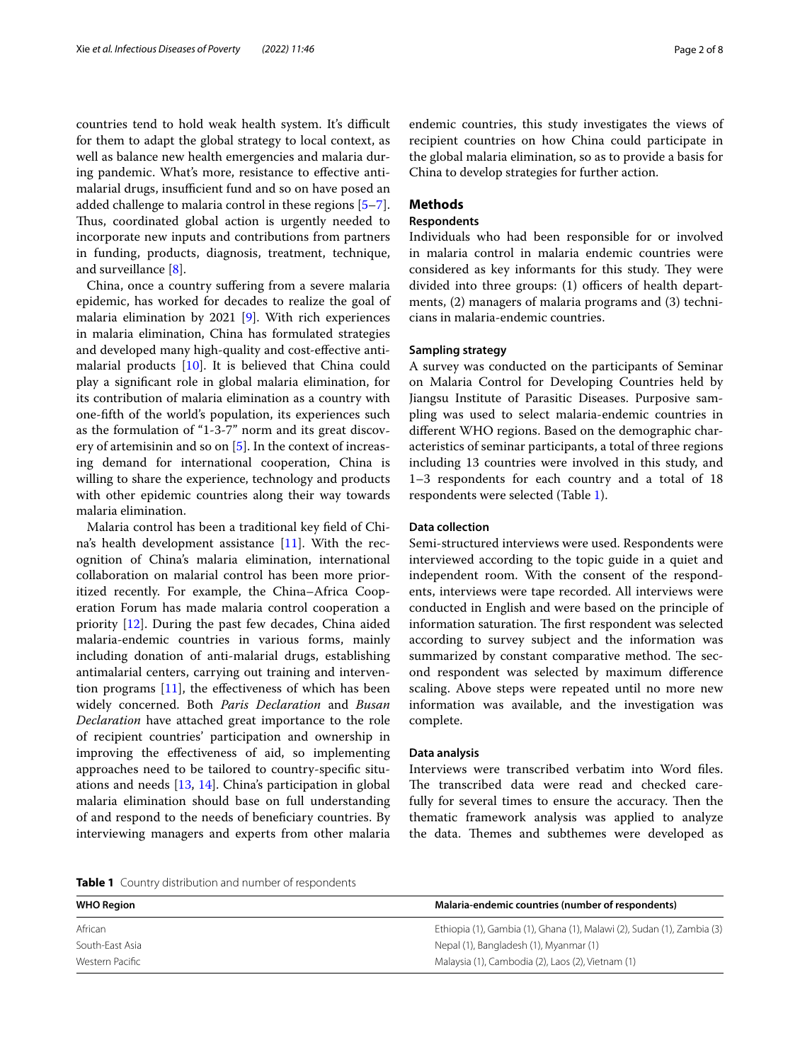countries tend to hold weak health system. It's difficult for them to adapt the global strategy to local context, as well as balance new health emergencies and malaria during pandemic. What's more, resistance to efective antimalarial drugs, insufficient fund and so on have posed an added challenge to malaria control in these regions [\[5](#page-6-4)[–7](#page-6-5)]. Thus, coordinated global action is urgently needed to incorporate new inputs and contributions from partners in funding, products, diagnosis, treatment, technique, and surveillance [\[8](#page-6-6)].

China, once a country sufering from a severe malaria epidemic, has worked for decades to realize the goal of malaria elimination by 2021 [[9\]](#page-6-7). With rich experiences in malaria elimination, China has formulated strategies and developed many high-quality and cost-efective antimalarial products [\[10](#page-6-8)]. It is believed that China could play a signifcant role in global malaria elimination, for its contribution of malaria elimination as a country with one-ffth of the world's population, its experiences such as the formulation of "1-3-7" norm and its great discovery of artemisinin and so on [[5\]](#page-6-4). In the context of increasing demand for international cooperation, China is willing to share the experience, technology and products with other epidemic countries along their way towards malaria elimination.

Malaria control has been a traditional key feld of China's health development assistance [[11\]](#page-6-9). With the recognition of China's malaria elimination, international collaboration on malarial control has been more prioritized recently. For example, the China–Africa Cooperation Forum has made malaria control cooperation a priority [[12](#page-6-10)]. During the past few decades, China aided malaria-endemic countries in various forms, mainly including donation of anti-malarial drugs, establishing antimalarial centers, carrying out training and intervention programs  $[11]$  $[11]$ , the effectiveness of which has been widely concerned. Both *Paris Declaration* and *Busan Declaration* have attached great importance to the role of recipient countries' participation and ownership in improving the efectiveness of aid, so implementing approaches need to be tailored to country-specifc situations and needs [[13,](#page-6-11) [14\]](#page-7-0). China's participation in global malaria elimination should base on full understanding of and respond to the needs of benefciary countries. By interviewing managers and experts from other malaria endemic countries, this study investigates the views of recipient countries on how China could participate in the global malaria elimination, so as to provide a basis for China to develop strategies for further action.

## **Methods**

## **Respondents**

Individuals who had been responsible for or involved in malaria control in malaria endemic countries were considered as key informants for this study. They were divided into three groups:  $(1)$  officers of health departments, (2) managers of malaria programs and (3) technicians in malaria-endemic countries.

## **Sampling strategy**

A survey was conducted on the participants of Seminar on Malaria Control for Developing Countries held by Jiangsu Institute of Parasitic Diseases. Purposive sampling was used to select malaria-endemic countries in diferent WHO regions. Based on the demographic characteristics of seminar participants, a total of three regions including 13 countries were involved in this study, and 1–3 respondents for each country and a total of 18 respondents were selected (Table [1](#page-1-0)).

## **Data collection**

Semi-structured interviews were used. Respondents were interviewed according to the topic guide in a quiet and independent room. With the consent of the respondents, interviews were tape recorded. All interviews were conducted in English and were based on the principle of information saturation. The first respondent was selected according to survey subject and the information was summarized by constant comparative method. The second respondent was selected by maximum diference scaling. Above steps were repeated until no more new information was available, and the investigation was complete.

## **Data analysis**

Interviews were transcribed verbatim into Word fles. The transcribed data were read and checked carefully for several times to ensure the accuracy. Then the thematic framework analysis was applied to analyze the data. Themes and subthemes were developed as

<span id="page-1-0"></span>**Table 1** Country distribution and number of respondents

| <b>WHO Region</b> | Malaria-endemic countries (number of respondents)                      |
|-------------------|------------------------------------------------------------------------|
| African           | Ethiopia (1), Gambia (1), Ghana (1), Malawi (2), Sudan (1), Zambia (3) |
| South-East Asia   | Nepal (1), Bangladesh (1), Myanmar (1)                                 |
| Western Pacific   | Malaysia (1), Cambodia (2), Laos (2), Vietnam (1)                      |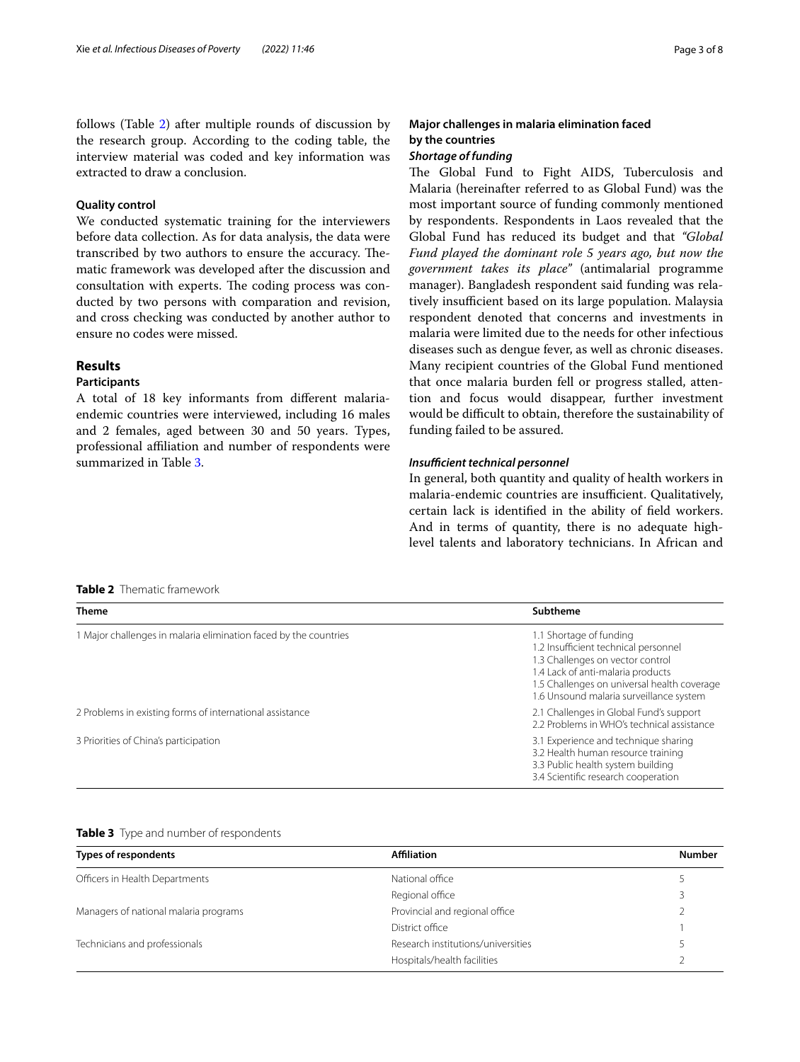follows (Table [2\)](#page-2-0) after multiple rounds of discussion by the research group. According to the coding table, the interview material was coded and key information was extracted to draw a conclusion.

## **Quality control**

We conducted systematic training for the interviewers before data collection. As for data analysis, the data were transcribed by two authors to ensure the accuracy. Thematic framework was developed after the discussion and consultation with experts. The coding process was conducted by two persons with comparation and revision, and cross checking was conducted by another author to ensure no codes were missed.

## **Results**

## **Participants**

A total of 18 key informants from diferent malariaendemic countries were interviewed, including 16 males and 2 females, aged between 30 and 50 years. Types, professional afliation and number of respondents were summarized in Table [3.](#page-2-1)

# **Major challenges in malaria elimination faced by the countries**

## *Shortage of funding*

The Global Fund to Fight AIDS, Tuberculosis and Malaria (hereinafter referred to as Global Fund) was the most important source of funding commonly mentioned by respondents. Respondents in Laos revealed that the Global Fund has reduced its budget and that *"Global Fund played the dominant role 5 years ago, but now the government takes its place"* (antimalarial programme manager). Bangladesh respondent said funding was relatively insufficient based on its large population. Malaysia respondent denoted that concerns and investments in malaria were limited due to the needs for other infectious diseases such as dengue fever, as well as chronic diseases. Many recipient countries of the Global Fund mentioned that once malaria burden fell or progress stalled, attention and focus would disappear, further investment would be difficult to obtain, therefore the sustainability of funding failed to be assured.

## *Insufficient technical personnel*

In general, both quantity and quality of health workers in malaria-endemic countries are insufficient. Qualitatively, certain lack is identifed in the ability of feld workers. And in terms of quantity, there is no adequate highlevel talents and laboratory technicians. In African and

## <span id="page-2-0"></span>**Table 2** Thematic framework

| <b>Theme</b>                                                     | Subtheme                                                                                                                                                                                                                           |
|------------------------------------------------------------------|------------------------------------------------------------------------------------------------------------------------------------------------------------------------------------------------------------------------------------|
| 1 Major challenges in malaria elimination faced by the countries | 1.1 Shortage of funding<br>1.2 Insufficient technical personnel<br>1.3 Challenges on vector control<br>1.4 Lack of anti-malaria products<br>1.5 Challenges on universal health coverage<br>1.6 Unsound malaria surveillance system |
| 2 Problems in existing forms of international assistance         | 2.1 Challenges in Global Fund's support<br>2.2 Problems in WHO's technical assistance                                                                                                                                              |
| 3 Priorities of China's participation                            | 3.1 Experience and technique sharing<br>3.2 Health human resource training<br>3.3 Public health system building<br>3.4 Scientific research cooperation                                                                             |

<span id="page-2-1"></span>

| Table 3 Type and number of respondents |  |
|----------------------------------------|--|
|----------------------------------------|--|

| Types of respondents                  | <b>Affiliation</b>                 | <b>Number</b> |
|---------------------------------------|------------------------------------|---------------|
| Officers in Health Departments        | National office                    |               |
|                                       | Regional office                    |               |
| Managers of national malaria programs | Provincial and regional office     |               |
|                                       | District office                    |               |
| Technicians and professionals         | Research institutions/universities |               |
|                                       | Hospitals/health facilities        |               |
|                                       |                                    |               |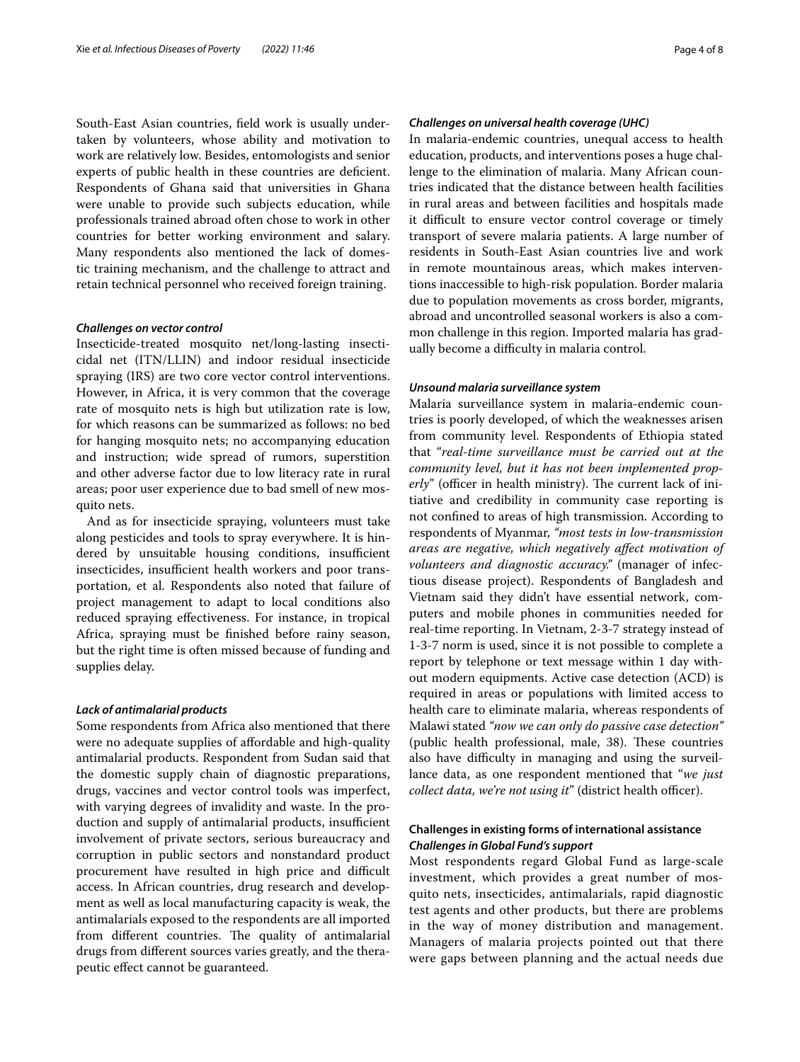South-East Asian countries, feld work is usually undertaken by volunteers, whose ability and motivation to work are relatively low. Besides, entomologists and senior experts of public health in these countries are deficient. Respondents of Ghana said that universities in Ghana were unable to provide such subjects education, while professionals trained abroad often chose to work in other countries for better working environment and salary. Many respondents also mentioned the lack of domestic training mechanism, and the challenge to attract and retain technical personnel who received foreign training.

### *Challenges on vector control*

Insecticide-treated mosquito net/long-lasting insecticidal net (ITN/LLIN) and indoor residual insecticide spraying (IRS) are two core vector control interventions. However, in Africa, it is very common that the coverage rate of mosquito nets is high but utilization rate is low, for which reasons can be summarized as follows: no bed for hanging mosquito nets; no accompanying education and instruction; wide spread of rumors, superstition and other adverse factor due to low literacy rate in rural areas; poor user experience due to bad smell of new mosquito nets.

And as for insecticide spraying, volunteers must take along pesticides and tools to spray everywhere. It is hindered by unsuitable housing conditions, insufficient insecticides, insufficient health workers and poor transportation, et al. Respondents also noted that failure of project management to adapt to local conditions also reduced spraying efectiveness. For instance, in tropical Africa, spraying must be fnished before rainy season, but the right time is often missed because of funding and supplies delay.

## *Lack of antimalarial products*

Some respondents from Africa also mentioned that there were no adequate supplies of affordable and high-quality antimalarial products. Respondent from Sudan said that the domestic supply chain of diagnostic preparations, drugs, vaccines and vector control tools was imperfect, with varying degrees of invalidity and waste. In the production and supply of antimalarial products, insufficient involvement of private sectors, serious bureaucracy and corruption in public sectors and nonstandard product procurement have resulted in high price and difficult access. In African countries, drug research and development as well as local manufacturing capacity is weak, the antimalarials exposed to the respondents are all imported from different countries. The quality of antimalarial drugs from diferent sources varies greatly, and the therapeutic efect cannot be guaranteed.

## *Challenges on universal health coverage (UHC)*

In malaria-endemic countries, unequal access to health education, products, and interventions poses a huge challenge to the elimination of malaria. Many African countries indicated that the distance between health facilities in rural areas and between facilities and hospitals made it difficult to ensure vector control coverage or timely transport of severe malaria patients. A large number of residents in South-East Asian countries live and work in remote mountainous areas, which makes interventions inaccessible to high-risk population. Border malaria due to population movements as cross border, migrants, abroad and uncontrolled seasonal workers is also a common challenge in this region. Imported malaria has gradually become a difficulty in malaria control.

### *Unsound malaria surveillance system*

Malaria surveillance system in malaria-endemic countries is poorly developed, of which the weaknesses arisen from community level. Respondents of Ethiopia stated that "*real-time surveillance must be carried out at the community level, but it has not been implemented properly*" (officer in health ministry). The current lack of initiative and credibility in community case reporting is not confned to areas of high transmission. According to respondents of Myanmar, *"most tests in low-transmission areas are negative, which negatively afect motivation of volunteers and diagnostic accuracy."* (manager of infectious disease project). Respondents of Bangladesh and Vietnam said they didn't have essential network, computers and mobile phones in communities needed for real-time reporting. In Vietnam, 2-3-7 strategy instead of 1-3-7 norm is used, since it is not possible to complete a report by telephone or text message within 1 day without modern equipments. Active case detection (ACD) is required in areas or populations with limited access to health care to eliminate malaria, whereas respondents of Malawi stated *"now we can only do passive case detection"* (public health professional, male, 38). These countries also have difficulty in managing and using the surveillance data, as one respondent mentioned that "*we just collect data, we're not using it"* (district health officer).

## **Challenges in existing forms of international assistance** *Challenges in Global Fund's support*

Most respondents regard Global Fund as large-scale investment, which provides a great number of mosquito nets, insecticides, antimalarials, rapid diagnostic test agents and other products, but there are problems in the way of money distribution and management. Managers of malaria projects pointed out that there were gaps between planning and the actual needs due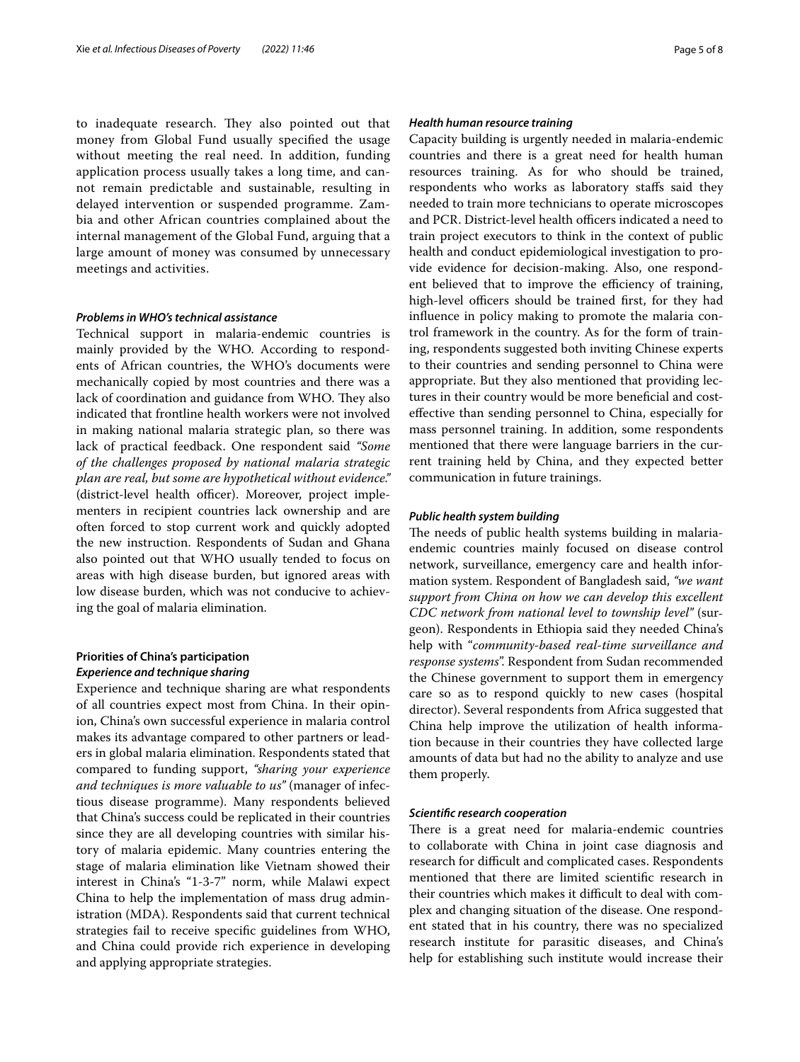to inadequate research. They also pointed out that money from Global Fund usually specifed the usage without meeting the real need. In addition, funding application process usually takes a long time, and cannot remain predictable and sustainable, resulting in delayed intervention or suspended programme. Zambia and other African countries complained about the internal management of the Global Fund, arguing that a large amount of money was consumed by unnecessary meetings and activities.

### *Problems in WHO's technical assistance*

Technical support in malaria-endemic countries is mainly provided by the WHO. According to respondents of African countries, the WHO's documents were mechanically copied by most countries and there was a lack of coordination and guidance from WHO. They also indicated that frontline health workers were not involved in making national malaria strategic plan, so there was lack of practical feedback. One respondent said *"Some of the challenges proposed by national malaria strategic plan are real, but some are hypothetical without evidence."* (district-level health officer). Moreover, project implementers in recipient countries lack ownership and are often forced to stop current work and quickly adopted the new instruction. Respondents of Sudan and Ghana also pointed out that WHO usually tended to focus on areas with high disease burden, but ignored areas with low disease burden, which was not conducive to achieving the goal of malaria elimination.

## **Priorities of China's participation** *Experience and technique sharing*

Experience and technique sharing are what respondents of all countries expect most from China. In their opinion, China's own successful experience in malaria control makes its advantage compared to other partners or leaders in global malaria elimination. Respondents stated that compared to funding support, *"sharing your experience and techniques is more valuable to us"* (manager of infectious disease programme). Many respondents believed that China's success could be replicated in their countries since they are all developing countries with similar history of malaria epidemic. Many countries entering the stage of malaria elimination like Vietnam showed their interest in China's "1-3-7" norm, while Malawi expect China to help the implementation of mass drug administration (MDA). Respondents said that current technical strategies fail to receive specifc guidelines from WHO, and China could provide rich experience in developing and applying appropriate strategies.

## *Health human resource training*

Capacity building is urgently needed in malaria-endemic countries and there is a great need for health human resources training. As for who should be trained, respondents who works as laboratory stafs said they needed to train more technicians to operate microscopes and PCR. District-level health officers indicated a need to train project executors to think in the context of public health and conduct epidemiological investigation to provide evidence for decision-making. Also, one respondent believed that to improve the efficiency of training, high-level officers should be trained first, for they had infuence in policy making to promote the malaria control framework in the country. As for the form of training, respondents suggested both inviting Chinese experts to their countries and sending personnel to China were appropriate. But they also mentioned that providing lectures in their country would be more benefcial and costefective than sending personnel to China, especially for mass personnel training. In addition, some respondents mentioned that there were language barriers in the current training held by China, and they expected better communication in future trainings.

## *Public health system building*

The needs of public health systems building in malariaendemic countries mainly focused on disease control network, surveillance, emergency care and health information system. Respondent of Bangladesh said, *"we want support from China on how we can develop this excellent CDC network from national level to township level"* (surgeon). Respondents in Ethiopia said they needed China's help with "*community-based real-time surveillance and response systems*". Respondent from Sudan recommended the Chinese government to support them in emergency care so as to respond quickly to new cases (hospital director). Several respondents from Africa suggested that China help improve the utilization of health information because in their countries they have collected large amounts of data but had no the ability to analyze and use them properly.

#### *Scientifc research cooperation*

There is a great need for malaria-endemic countries to collaborate with China in joint case diagnosis and research for difficult and complicated cases. Respondents mentioned that there are limited scientifc research in their countries which makes it difficult to deal with complex and changing situation of the disease. One respondent stated that in his country, there was no specialized research institute for parasitic diseases, and China's help for establishing such institute would increase their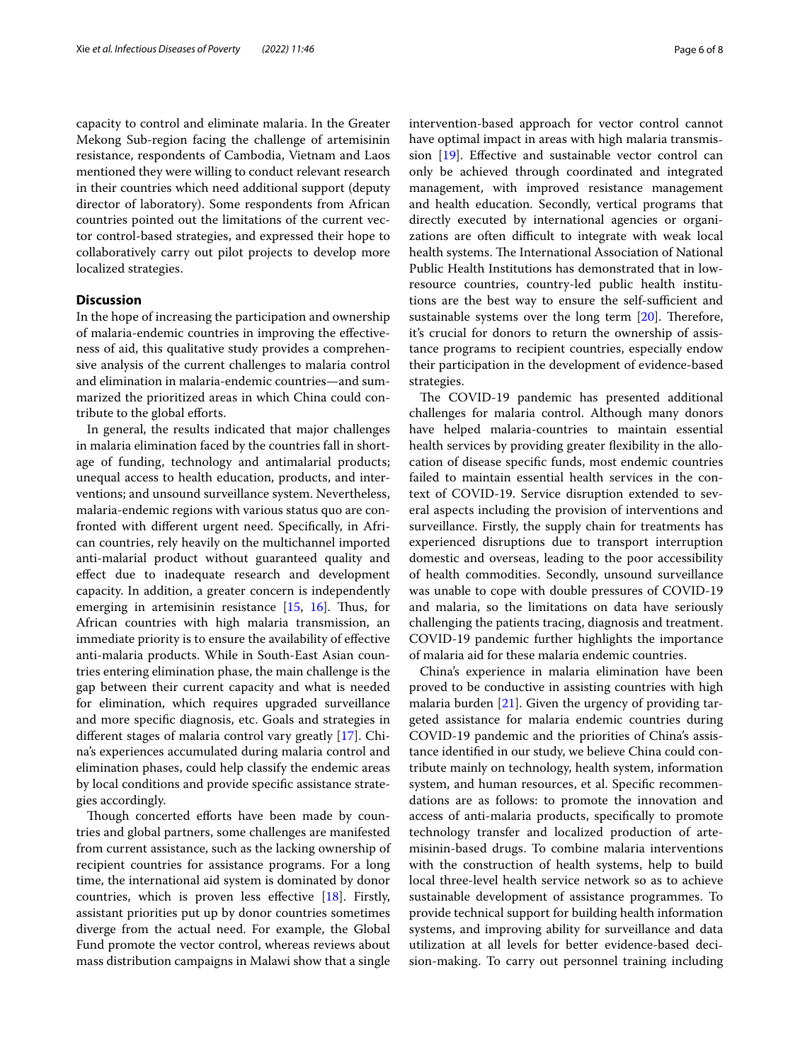capacity to control and eliminate malaria. In the Greater Mekong Sub-region facing the challenge of artemisinin resistance, respondents of Cambodia, Vietnam and Laos mentioned they were willing to conduct relevant research in their countries which need additional support (deputy director of laboratory). Some respondents from African countries pointed out the limitations of the current vector control-based strategies, and expressed their hope to collaboratively carry out pilot projects to develop more localized strategies.

## **Discussion**

In the hope of increasing the participation and ownership of malaria-endemic countries in improving the efectiveness of aid, this qualitative study provides a comprehensive analysis of the current challenges to malaria control and elimination in malaria-endemic countries—and summarized the prioritized areas in which China could contribute to the global eforts.

In general, the results indicated that major challenges in malaria elimination faced by the countries fall in shortage of funding, technology and antimalarial products; unequal access to health education, products, and interventions; and unsound surveillance system. Nevertheless, malaria-endemic regions with various status quo are confronted with diferent urgent need. Specifcally, in African countries, rely heavily on the multichannel imported anti-malarial product without guaranteed quality and efect due to inadequate research and development capacity. In addition, a greater concern is independently emerging in artemisinin resistance  $[15, 16]$  $[15, 16]$  $[15, 16]$  $[15, 16]$ . Thus, for African countries with high malaria transmission, an immediate priority is to ensure the availability of efective anti-malaria products. While in South-East Asian countries entering elimination phase, the main challenge is the gap between their current capacity and what is needed for elimination, which requires upgraded surveillance and more specifc diagnosis, etc. Goals and strategies in diferent stages of malaria control vary greatly [[17\]](#page-7-3). China's experiences accumulated during malaria control and elimination phases, could help classify the endemic areas by local conditions and provide specifc assistance strategies accordingly.

Though concerted efforts have been made by countries and global partners, some challenges are manifested from current assistance, such as the lacking ownership of recipient countries for assistance programs. For a long time, the international aid system is dominated by donor countries, which is proven less effective  $[18]$  $[18]$  $[18]$ . Firstly, assistant priorities put up by donor countries sometimes diverge from the actual need. For example, the Global Fund promote the vector control, whereas reviews about mass distribution campaigns in Malawi show that a single intervention-based approach for vector control cannot have optimal impact in areas with high malaria transmission [[19](#page-7-5)]. Efective and sustainable vector control can only be achieved through coordinated and integrated management, with improved resistance management and health education. Secondly, vertical programs that directly executed by international agencies or organizations are often difficult to integrate with weak local health systems. The International Association of National Public Health Institutions has demonstrated that in lowresource countries, country-led public health institutions are the best way to ensure the self-sufficient and sustainable systems over the long term  $[20]$  $[20]$ . Therefore, it's crucial for donors to return the ownership of assistance programs to recipient countries, especially endow their participation in the development of evidence-based strategies.

The COVID-19 pandemic has presented additional challenges for malaria control. Although many donors have helped malaria-countries to maintain essential health services by providing greater fexibility in the allocation of disease specifc funds, most endemic countries failed to maintain essential health services in the context of COVID-19. Service disruption extended to several aspects including the provision of interventions and surveillance. Firstly, the supply chain for treatments has experienced disruptions due to transport interruption domestic and overseas, leading to the poor accessibility of health commodities. Secondly, unsound surveillance was unable to cope with double pressures of COVID-19 and malaria, so the limitations on data have seriously challenging the patients tracing, diagnosis and treatment. COVID-19 pandemic further highlights the importance of malaria aid for these malaria endemic countries.

China's experience in malaria elimination have been proved to be conductive in assisting countries with high malaria burden  $[21]$  $[21]$ . Given the urgency of providing targeted assistance for malaria endemic countries during COVID-19 pandemic and the priorities of China's assistance identifed in our study, we believe China could contribute mainly on technology, health system, information system, and human resources, et al. Specifc recommendations are as follows: to promote the innovation and access of anti-malaria products, specifcally to promote technology transfer and localized production of artemisinin-based drugs. To combine malaria interventions with the construction of health systems, help to build local three-level health service network so as to achieve sustainable development of assistance programmes. To provide technical support for building health information systems, and improving ability for surveillance and data utilization at all levels for better evidence-based decision-making. To carry out personnel training including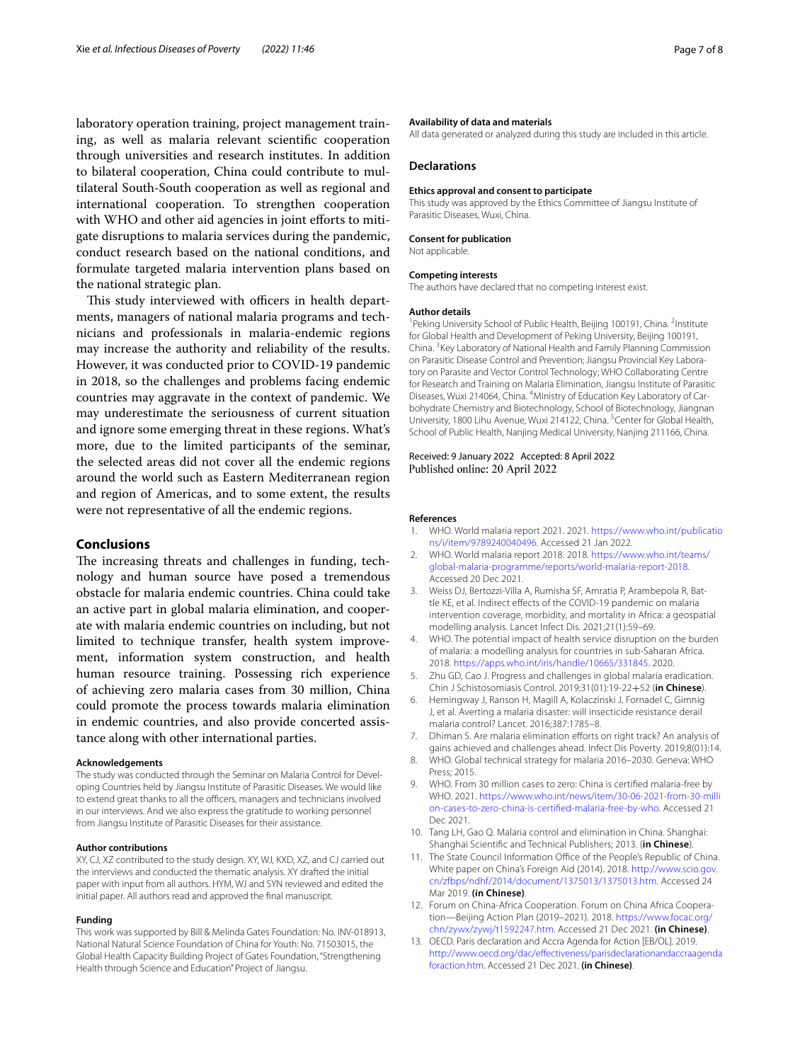laboratory operation training, project management training, as well as malaria relevant scientifc cooperation through universities and research institutes. In addition to bilateral cooperation, China could contribute to multilateral South-South cooperation as well as regional and international cooperation. To strengthen cooperation with WHO and other aid agencies in joint efforts to mitigate disruptions to malaria services during the pandemic, conduct research based on the national conditions, and formulate targeted malaria intervention plans based on the national strategic plan.

This study interviewed with officers in health departments, managers of national malaria programs and technicians and professionals in malaria-endemic regions may increase the authority and reliability of the results. However, it was conducted prior to COVID-19 pandemic in 2018, so the challenges and problems facing endemic countries may aggravate in the context of pandemic. We may underestimate the seriousness of current situation and ignore some emerging threat in these regions. What's more, due to the limited participants of the seminar, the selected areas did not cover all the endemic regions around the world such as Eastern Mediterranean region and region of Americas, and to some extent, the results were not representative of all the endemic regions.

## **Conclusions**

The increasing threats and challenges in funding, technology and human source have posed a tremendous obstacle for malaria endemic countries. China could take an active part in global malaria elimination, and cooperate with malaria endemic countries on including, but not limited to technique transfer, health system improvement, information system construction, and health human resource training. Possessing rich experience of achieving zero malaria cases from 30 million, China could promote the process towards malaria elimination in endemic countries, and also provide concerted assistance along with other international parties.

#### **Acknowledgements**

The study was conducted through the Seminar on Malaria Control for Developing Countries held by Jiangsu Institute of Parasitic Diseases. We would like to extend great thanks to all the officers, managers and technicians involved in our interviews. And we also express the gratitude to working personnel from Jiangsu Institute of Parasitic Diseases for their assistance.

#### **Author contributions**

XY, CJ, XZ contributed to the study design. XY, WJ, KXD, XZ, and CJ carried out the interviews and conducted the thematic analysis. XY drafted the initial paper with input from all authors. HYM, WJ and SYN reviewed and edited the initial paper. All authors read and approved the fnal manuscript.

#### **Funding**

This work was supported by Bill & Melinda Gates Foundation: No. INV-018913, National Natural Science Foundation of China for Youth: No. 71503015, the Global Health Capacity Building Project of Gates Foundation, "Strengthening Health through Science and Education" Project of Jiangsu.

#### **Availability of data and materials**

All data generated or analyzed during this study are included in this article.

#### **Declarations**

#### **Ethics approval and consent to participate**

This study was approved by the Ethics Committee of Jiangsu Institute of Parasitic Diseases, Wuxi, China.

#### **Consent for publication**

Not applicable.

#### **Competing interests**

The authors have declared that no competing interest exist.

#### **Author details**

<sup>1</sup> Peking University School of Public Health, Beijing 100191, China. <sup>2</sup>Institute for Global Health and Development of Peking University, Beijing 100191, China.<sup>3</sup> Key Laboratory of National Health and Family Planning Commission on Parasitic Disease Control and Prevention; Jiangsu Provincial Key Laboratory on Parasite and Vector Control Technology; WHO Collaborating Centre for Research and Training on Malaria Elimination, Jiangsu Institute of Parasitic Diseases, Wuxi 214064, China. <sup>4</sup> Ministry of Education Key Laboratory of Carbohydrate Chemistry and Biotechnology, School of Biotechnology, Jiangnan University, 1800 Lihu Avenue, Wuxi 214122, China. <sup>5</sup> Center for Global Health, School of Public Health, Nanjing Medical University, Nanjing 211166, China.

#### Received: 9 January 2022 Accepted: 8 April 2022 Published online: 20 April 2022

#### **References**

- <span id="page-6-0"></span>1. WHO. World malaria report 2021. 2021. [https://www.who.int/publicatio](https://www.who.int/publications/i/item/9789240040496) [ns/i/item/9789240040496.](https://www.who.int/publications/i/item/9789240040496) Accessed 21 Jan 2022.
- <span id="page-6-1"></span>2. WHO. World malaria report 2018. 2018. [https://www.who.int/teams/](https://www.who.int/teams/global-malaria-programme/reports/world-malaria-report-2018) [global-malaria-programme/reports/world-malaria-report-2018](https://www.who.int/teams/global-malaria-programme/reports/world-malaria-report-2018). Accessed 20 Dec 2021.
- <span id="page-6-2"></span>3. Weiss DJ, Bertozzi-Villa A, Rumisha SF, Amratia P, Arambepola R, Battle KE, et al. Indirect efects of the COVID-19 pandemic on malaria intervention coverage, morbidity, and mortality in Africa: a geospatial modelling analysis. Lancet Infect Dis. 2021;21(1):59–69.
- <span id="page-6-3"></span>4. WHO. The potential impact of health service disruption on the burden of malaria: a modelling analysis for countries in sub-Saharan Africa. 2018. [https://apps.who.int/iris/handle/10665/331845.](https://apps.who.int/iris/handle/10665/331845) 2020.
- <span id="page-6-4"></span>5. Zhu GD, Cao J. Progress and challenges in global malaria eradication. Chin J Schistosomiasis Control. 2019;31(01):19-22+52 (**in Chinese**).
- 6. Hemingway J, Ranson H, Magill A, Kolaczinski J, Fornadel C, Gimnig J, et al. Averting a malaria disaster: will insecticide resistance derail malaria control? Lancet. 2016;387:1785–8.
- <span id="page-6-5"></span>7. Dhiman S. Are malaria elimination efforts on right track? An analysis of gains achieved and challenges ahead. Infect Dis Poverty. 2019;8(01):14.
- <span id="page-6-6"></span>8. WHO. Global technical strategy for malaria 2016–2030. Geneva: WHO Press; 2015.
- <span id="page-6-7"></span>9. WHO. From 30 million cases to zero: China is certifed malaria-free by WHO. 2021. [https://www.who.int/news/item/30-06-2021-from-30-milli](https://www.who.int/news/item/30-06-2021-from-30-million-cases-to-zero-china-is-certified-malaria-free-by-who) [on-cases-to-zero-china-is-certifed-malaria-free-by-who.](https://www.who.int/news/item/30-06-2021-from-30-million-cases-to-zero-china-is-certified-malaria-free-by-who) Accessed 21 Dec 2021.
- <span id="page-6-8"></span>10. Tang LH, Gao Q. Malaria control and elimination in China. Shanghai: Shanghai Scientifc and Technical Publishers; 2013. (**in Chinese**).
- <span id="page-6-9"></span>11. The State Council Information Office of the People's Republic of China. White paper on China's Foreign Aid (2014). 2018. [http://www.scio.gov.](http://www.scio.gov.cn/zfbps/ndhf/2014/document/1375013/1375013.htm) [cn/zfbps/ndhf/2014/document/1375013/1375013.htm](http://www.scio.gov.cn/zfbps/ndhf/2014/document/1375013/1375013.htm). Accessed 24 Mar 2019. **(in Chinese)**.
- <span id="page-6-10"></span>12. Forum on China-Africa Cooperation. Forum on China Africa Cooperation—Beijing Action Plan (2019–2021). 2018. [https://www.focac.org/](https://www.focac.org/chn/zywx/zywj/t1592247.htm) [chn/zywx/zywj/t1592247.htm](https://www.focac.org/chn/zywx/zywj/t1592247.htm). Accessed 21 Dec 2021. **(in Chinese)**.
- <span id="page-6-11"></span>13. OECD. Paris declaration and Accra Agenda for Action [EB/OL]. 2019. [http://www.oecd.org/dac/efectiveness/parisdeclarationandaccraagenda](http://www.oecd.org/dac/effectiveness/parisdeclarationandaccraagendaforaction.htm) [foraction.htm](http://www.oecd.org/dac/effectiveness/parisdeclarationandaccraagendaforaction.htm). Accessed 21 Dec 2021. **(in Chinese)**.